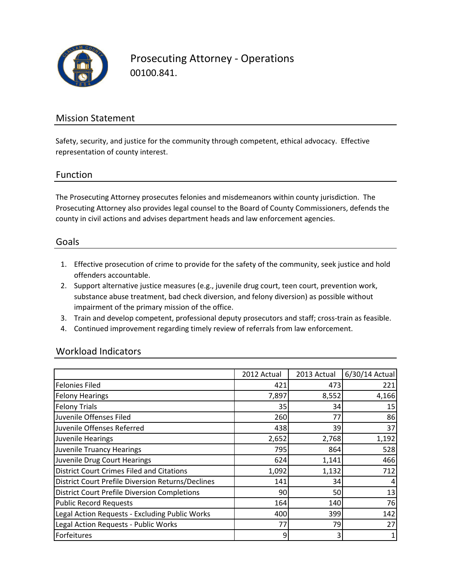

Prosecuting Attorney - Operations 00100.841.

### Mission Statement

Safety, security, and justice for the community through competent, ethical advocacy. Effective representation of county interest.

### Function

The Prosecuting Attorney prosecutes felonies and misdemeanors within county jurisdiction. The Prosecuting Attorney also provides legal counsel to the Board of County Commissioners, defends the county in civil actions and advises department heads and law enforcement agencies.

#### Goals

- 1. Effective prosecution of crime to provide for the safety of the community, seek justice and hold offenders accountable.
- 2. Support alternative justice measures (e.g., juvenile drug court, teen court, prevention work, substance abuse treatment, bad check diversion, and felony diversion) as possible without impairment of the primary mission of the office.
- 3. Train and develop competent, professional deputy prosecutors and staff; cross-train as feasible.
- 4. Continued improvement regarding timely review of referrals from law enforcement.

### Workload Indicators

|                                                     | 2012 Actual | 2013 Actual | 6/30/14 Actual |
|-----------------------------------------------------|-------------|-------------|----------------|
| <b>Felonies Filed</b>                               | 421         | 473         | 221            |
| <b>Felony Hearings</b>                              | 7,897       | 8,552       | 4,166          |
| <b>Felony Trials</b>                                | 35          | 34          | 15             |
| Juvenile Offenses Filed                             | 260         | 77          | 86             |
| Juvenile Offenses Referred                          | 438         | 39          | 37             |
| Juvenile Hearings                                   | 2,652       | 2,768       | 1,192          |
| <b>Juvenile Truancy Hearings</b>                    | 795         | 864         | 528            |
| Juvenile Drug Court Hearings                        | 624         | 1,141       | 466            |
| <b>District Court Crimes Filed and Citations</b>    | 1,092       | 1,132       | 712            |
| District Court Prefile Diversion Returns/Declines   | 141         | 34          |                |
| <b>District Court Prefile Diversion Completions</b> | 90          | 50          | 13             |
| <b>Public Record Requests</b>                       | 164         | 140         | 76             |
| Legal Action Requests - Excluding Public Works      | 400         | 399         | 142            |
| Legal Action Requests - Public Works                | 77          | 79          | 27             |
| Forfeitures                                         | 9           | 3           |                |